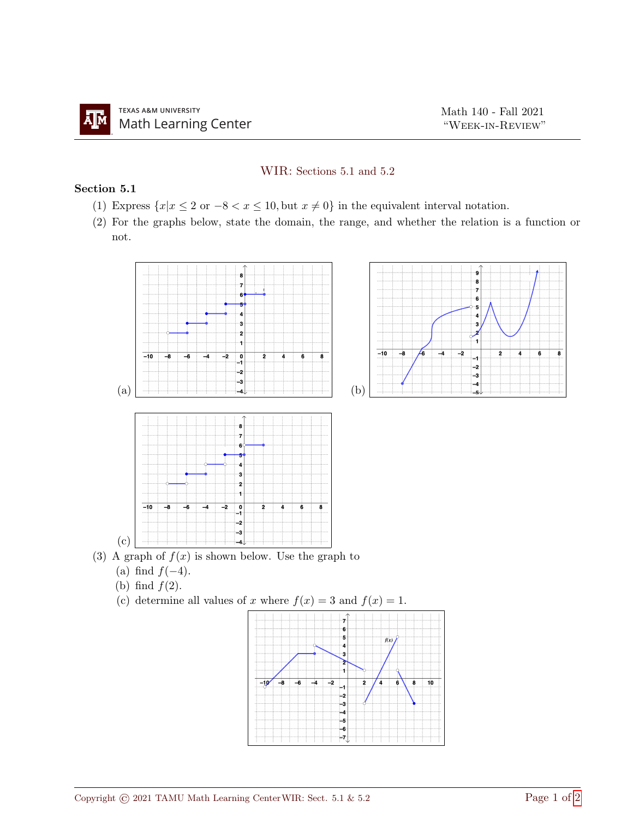## WIR: Sections 5.1 and 5.2

## Section 5.1

- (1) Express  $\{x|x \leq 2 \text{ or } -8 < x \leq 10\}$ , but  $x \neq 0$ } in the equivalent interval notation.
- (2) For the graphs below, state the domain, the range, and whether the relation is a function or not.



-5

 $\overline{4}$ -3 ∍ -4

Ļ,  $-2$  $-3$ <br> $-4$ <br> $-5$  $-6$  $-7$ 

⊋

 $f(x)$ 

10

 $\overline{\mathbf{8}}$ 

تو1 ⊸≅  $\overline{-6}$  $\overline{-4}$